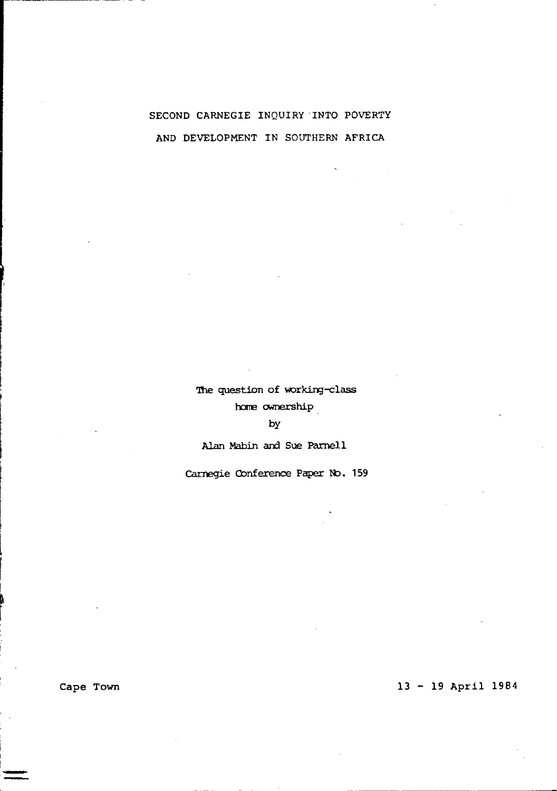# SECOND CARNEGIE INQUIRY INTO POVERTY AND DEVELOPMENT IN SOUTHERN AFRICA

The question of working-class

home ownership

by

Alan Mabin and Sue Parnell

Carnegie Conference Paper No. 159

Cape Town

I ~ I

# 13 - 19 April 1984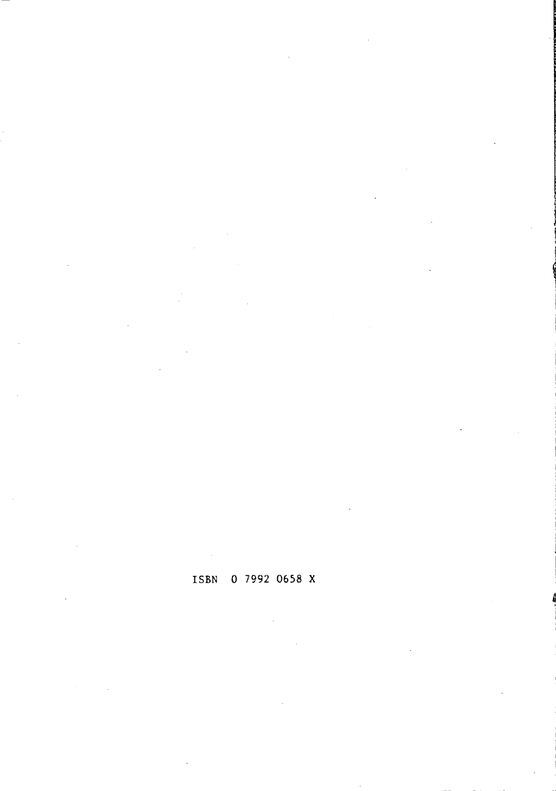# **ISBN 0** 7992 **0658 X**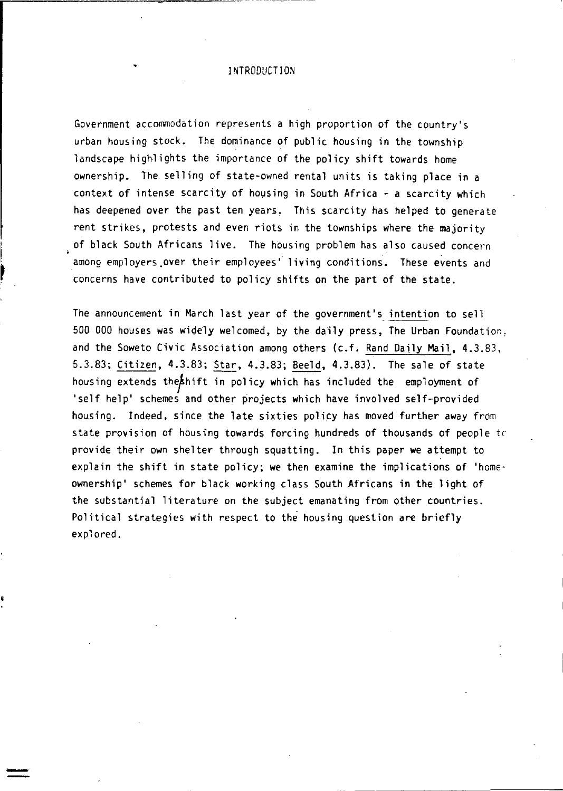## I NTRODUCT I ON

Government accommodation represents a high proportion of the country's urban housing stock. The dominance of public housing in the township landscape highlights the importance of the policy shift towards home ownership. The selling of state-owned rental units is taking place in a context of intense scarcity of housing in South Africa - a scarcity which has deepened over the past ten years, This scarcity has helped to generate rent strikes, protests and even riots in the townships where the majority of black South Africans live. The housing problem has also caused concern among employers.over their employees" living conditions. These events and concerns have contributed to policy shifts on the part of the state.

I  $\mathbf{L}$ 

> The announcement in March last year of the government's intention to sell 500 000 houses was widely welcomed, by the daily press, The Urban Foundation, and the Soweto Civic Association among others (c.f. Rand Daily Mail, 4.3.83, 5.3.83; Citizen, 4.3.83; Star, 4.3.83; Beeld, 4.3.83). The sale of state housing extends the hift in policy which has included the employment of 'self help' schemes and other projects which have involved self-provided housing. Indeed, since the late sixties policy has moved further away from state provision of housing towards forcing hundreds of thousands of people tc provide their own shelter through squatting. In this paper we attempt to explain the shift in state policy; we then examine the implications of 'homeownership' schemes for black working class South Africans in the light of the substantial literature on the subject emanating from other countries. Political strategies with respect to the housing question are briefly explored.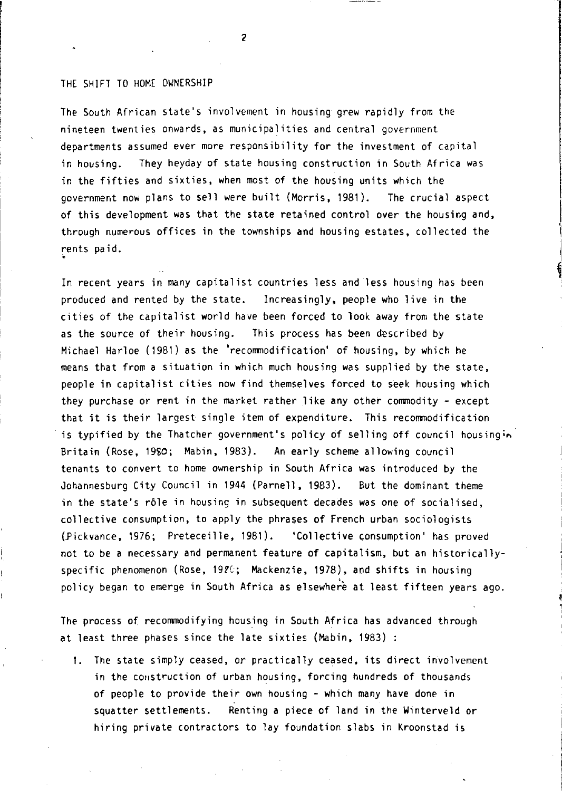### THE SHIFT TO HOME OWNERSHIP

The South African state's involvement in housing grew rapidly from the nineteen twenties onwards, as municipalities and central government departments assumed ever more responsibility for the investment of capital in housing. They heyday of state housing construction in South Africa was in the fifties and sixties, when most of the housing units which the government now plans to sell were built (Morris, 1981). The crucial aspect of this development was that the state retained control over the housing and, through numerous offices in the townships and housing estates, collected the rents paid.

I I ~

In recent years in many capitalist countries less and less housing has been produced and rented by the state. Increasingly, people who live in the cities of the capitalist world have been forced to look away from the state as the source of their housing. This process has been described by Michael Harloe (1981) as the 'recommodification' of housing, by which he means that from a situation in which much housing was supplied by the state, people in capitalist cities now find themselves forced to seek housing which they purchase or rent in the market rather like any other commodity - except that it is their largest single item of expenditure. This recommodification is typified by the Thatcher government's policy of selling off council housingin Britain (Rose, 1980; Mabin, 1983). An early scheme allowing council tenants to convert to home ownership in South Africa was introduced by the Johannesburg City Council in 1944 (Parnell, 1983). But the dominant theme in the state's r6le in housing in subsequent decades was one of socialised, collective consumption, to apply the phrases of French urban sociologists (Pickvance, 1976; Preteceille, 1981). 'Collective consumption' has proved not to be a necessary and permanent feature of capitalism, but an historicallyspecific phenomenon (Rose, 19?C; Mackenzie, 1978), and shifts in housing policy began to emerge in South Africa as elsewhere at least fifteen years ago.

The process of recommodifying housing in South Africa has advanced through at least three phases since the late sixties (Mabin, 1983) :

1. The state simply ceased, or practically ceased, its direct involvement in the construction of urban housing, forcing hundreds of thousands of people to provide their own housing - which many have done in squatter settlements. Renting a piece of land in the Winterveld or hiring private contractors to lay foundation slabs in Kroonstad is

 $\overline{2}$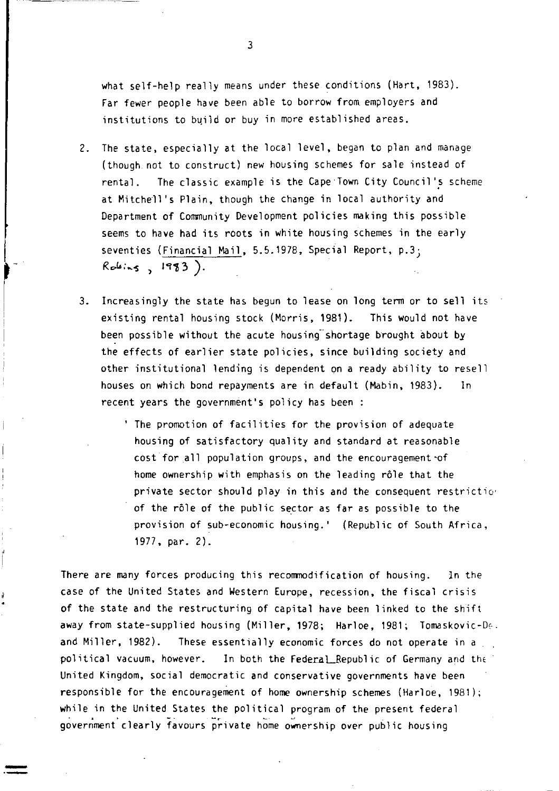what self-help really means under these conditions (Hart, 1983). Far fewer people have been able to borrow from employers and institutions to build or buy in more established areas.

2. The state, especially at the local level, began to plan and manage (though. not to construct) new housing schemes for sale instead of rental. The classic example is the Cape Town City Council's scheme at Mitchell's Plain, though the change in local authority and Department of Community Development policies making this possible seems to have had its roots in white housing schemes in the early seventies (Financial Mail, 5.5.1978, Special Report, p.3;  $Robins, 1983).$ 

j r

- 3. Increasingly the state has begun to lease on long term or to sell its existing rental housing stock (Morris, 1981). This would not have been possible without the acute housing shortage brought about by the effects of earlier state policies, since building society and other institutional lending is dependent on a ready ability to resell houses on which bond repayments are in default (Mabin, 1983). In recent years the government's policy has been:
	- , The promotion of facilities for the provision of adequate housing of satisfactory quality and standard at reasonable cost for all population groups, and the encouragement of home ownership with emphasis on the leading rôle that the private sector should play in this and the consequent restrictio' of the rôle of the public sector as far as possible to the provision of SUb-economic housing.' (Republic of South Africa, 1977, par. 2).

There are many forces producing this recommodification of housing. In the case of the United States and Western Europe, recession, the fiscal crisis of the state and the restructuring of capital have been linked to the shift away from state-supplied housing (Miller, 1978; Harloe, 1981; Tomaskovic-D $\epsilon$ . and Miller, 1982). These essentially economic forces do not operate in a political vacuum, however. In both the Federal Republic of Germany and the United Kingdom, social democratic and conservative governments have been responsible for the encouragement of home ownership schemes (Harloe, 1981); while in the United States the political program of the present federal government clearly favours private home ownership over public housing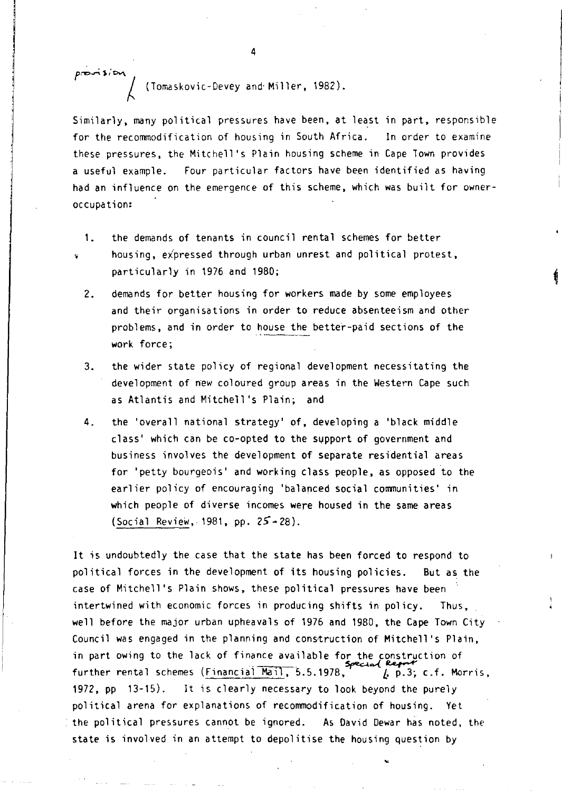*f,--r>":");""", J* (Tomaskovic-Devey and'Miller, 1982).

Similarly, many political pressures have been, at least in part, responsible for the recommodification of housing in South Africa. In order to examine these pressures, the Mitchell's Plain housing scheme in Cape Town provides a useful example. Four particular factors have been identified as having had an influence on the emergence of this scheme, which was built for owneroccupation:

- 1. the demands of tenants in council rental schemes for better housing, expressed through urban unrest and political protest, particularly in 1976 and 1980;
- 2. demands for better housing for workers made by some employees and their organisations in order to reduce absenteeism and other problems, and in order to house the better-paid sections of the work force;
- 3. the wider state policy of regional development necessitating the development of new coloured group areas in the Western Cape such as Atlantis and Mitchell's Plain; and
- 4. the 'overall national strategy' of, developing a 'black middle class' which can be co-opted to the support of government and business involves the development of separate residential areas for 'petty bourgeois' and working class people, as opposed to the earlier policy of encouraging 'balanced social communities' in which people of diverse incomes were housed in the same areas (Social Review, 1981, pp.  $25 - 28$ ).

It is undoubtedly the case that the state has been forced to respond to political forces in the development of its housing policies. But as the case of Mitchell's Plain shows, these political pressures have been intertwined with economic forces in producing shifts in policy. Thus, well before the major urban upheavals of 1976 and 1980, the Cape Town City Council was engaged in the planning and construction of Mitchell's Plain, in part owing to the lack of finance available for the construction of further rental schemes (Financial Mail, 5.5.1978,  $\overline{p}$ , p.3; c.f. Morris, 1972, pp 13-15). It is clearly necessary to look beyond the purely political arena for explanations of recommodification of housing. Yet the political pressures cannot be ignored. As David Dewar has noted. the state is involved in an attempt to depolitise the housing question by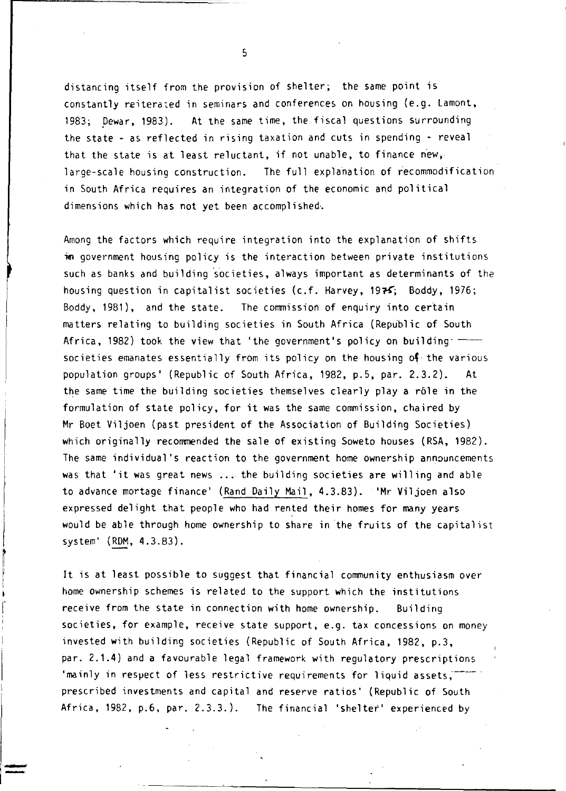distancing itself from the provision of shelter; the same point is constantly reiterated in seminars and conferences on housing (e.g. Lamont, 1983; pewar, 1983). At the same time, the fiscal questions surrounding the state - as reflected in rising taxation and cuts in spending - reveal that the state is at least reluctant, if not unable, to finance new,· large-scale housing construction. The full explanation of recommodification in South Africa requires an integration of the economic and political dimensions which has not yet been accomplished,

Among the factors which require integration into the explanation of shifts m government housing policy is the interaction between private institutions such as banks and building societies, always important as determinants of the housing question in capitalist societies (c.f. Harvey, 1975; Boddy, 1976; Boddy, 1981), and the state. The commission of enquiry into certain matters relating to building societies in South Africa (Republic of South Africa, 1982) took the view that 'the government's policy on building  $$ societies emanates essentially from its policy on the housing of the various population groups' (Republic of South Africa, 1982, p.5, par. 2.3.2). At the same time the building societies themselves clearly play a rôle in the formulation of state policy, for it was the same commission, chaired by Mr Boet Viljoen (past president of the Association of Building Societies) which originally recommended the sale of existing Soweto houses (RSA, 1982). The same individual's reaction to the government home ownership announcements was that 'it was great news .... the building societies are willing and able to advance mortage finance' (Rand Daily Mail, 4.3.83). 'Mr Viljoen also expressed delight that people who had rented their homes for many years would be able through home ownership to share in the fruits of the capitalist system' (ROM, 4.3.83).

It is at least possible to suggest that financial community enthusiasm over home ownership schemes is related to the support which the institutions receive from the state in connection with home ownership. Building societies, for example, receive state support, e.g. tax concessions on money invested with building societies (Republic of South Africa, 1982, p.3, par. 2.1.4) and a favourable legal framework with regulatory prescriptions 'mainly in respect of less restrictive requirements for liquid assets.<sup>--</sup> prescribed investments and capital and reserve ratios' (Republic of South Africa. 1982. p.6. par. 2.3.3.). The financial 'shelter' experienced by

.-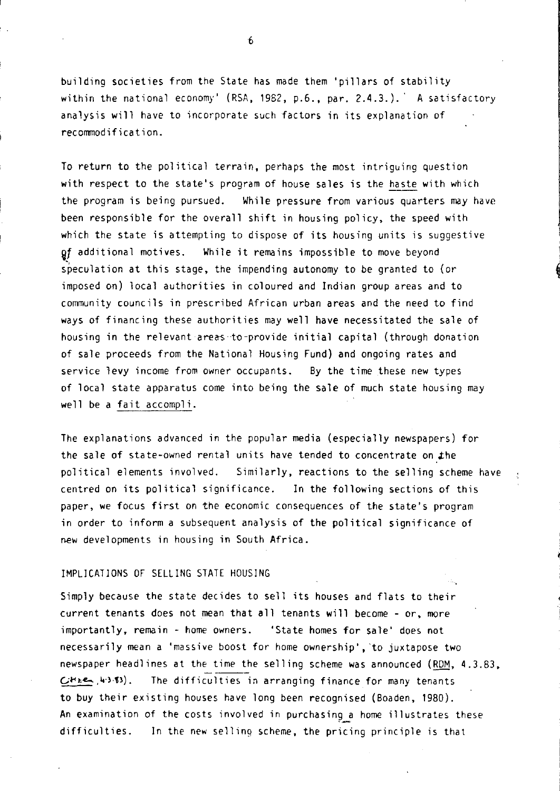building societies from the State has made them 'pillars of stability within the national economy' (RSA, 1982, p.6., par. 2.4.3.).' A satisfactory analysis will have to incorporate such factors in its explanation of recommodification.

To return to the political terrain, perhaps the most intriguing question with respect to the state's program of house sales is the haste with which the program is being pursued. While pressure from various quarters may have been responsible for the overall shift in housing policy, the speed with which the state is attempting to dispose of its housing units is suggestive gf additional motives. While it remains impossible to move beyond speculation at this stage, the impending autonomy to be granted to (or imposed on) local authorities in coloured and Indian group areas and to community councils in prescribed African urban areas and the need to find ways of financing these authorities may well have necessitated the sale of housing in the relevant areas to-provide initial capital (through donation of sale proceeds from the National Housing Fund) and ongoing rates and service levy income from owner occupants. By the time these new types of local state apparatus come into being the sale of much state housing may well be a fait accompli.

The explanations advanced in the popular media (especially newspapers) for the sale of state-owned rental units have tended to concentrate on the political elements involved. Similarly, reactions to the selling scheme have centred on its political significance. In the following sections of this paper, we focus first on the economic consequences of the state's program in order to inform a subsequent analysis of the political significance of new developments in housing in South Africa.

### IMPLICATIONS OF SELLING STATE HOUSING

Simply because the state decides to sell its houses and flats to their current tenants does not mean that all tenants will become - or, more importantly, remain - home owners. 'State homes for sale' does not necessarily mean a 'massive boost for home ownership', 'to juxtapose two newspaper headlines at the time the selling scheme was announced (ROM, 4.3.83,  $C$ *Hie*, 40.53). The difficulties in arranging finance for many tenants to buy their existing houses have long been recognised (Boaden, 1980). An examination of the costs involved in purchasing a home illustrates these difficult ies. In the new selling scheme, the pricing principle is that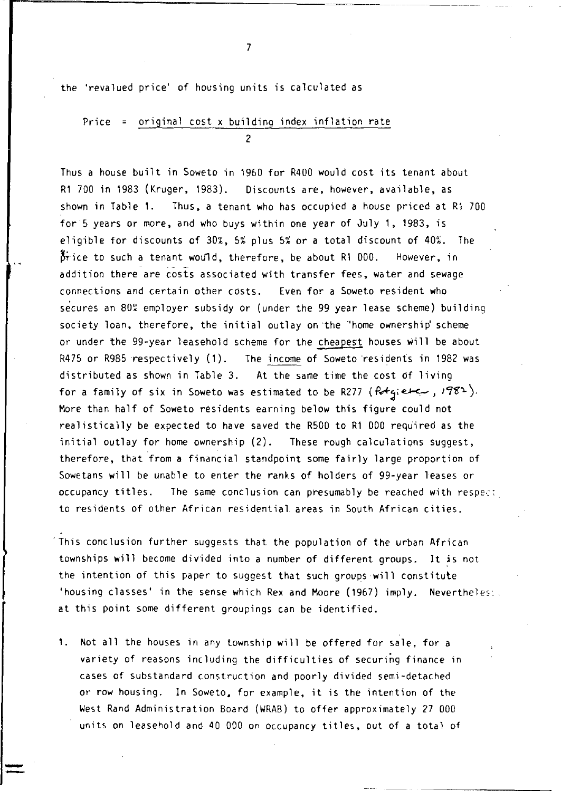the 'revalued price' of housing units is calculated as

r---------------------~---------- -

# Price = original cost x building index inflation rate  $\overline{2}$

Thus a house built in Soweto in 1960 for R400 would cost its tenant about R1 700 in 1983 (Kruger, 1983). Discounts are, however, available, as shown in Table 1. Thus, a tenant who has occupied a house priced at R1 700 for 5 years or more, and who buys within one year of July 1, 1983, is eligible for discounts of 30%, 5% plus 5% or a total discount of 40%. The  $\beta$ rice to such a tenant would, therefore, be about R1 000. However, in addition there are costs associated with transfer fees, water and sewage connections and certain other costs. Even for a Soweto resident who secures an 80% employer subsidy or (under the 99 year lease scheme) building society loan, therefore, the initial outlay on the "home ownership' scheme or under the 99-year leasehold scheme for the cheapest houses will be about R475 or R985 respectively (1). The income of Soweto residents in 1982 was distributed as shown in Table 3. At the same time the cost of living for a family of six in Soweto was estimated to be R277 ( $R+q$ ;  $e+q$ ,  $198^2$ ). More than half of Soweto residents earning below this figure could not realistically be expected to have saved the R500 to R1 000 required as the initial outlay for home ownership (2). These rough calculations suggest, therefore, that from a financial standpoint some fairly large proportion of Sowetans will be unable to enter the ranks of holders of 99-year leases or occupancy titles. The same conclusion can presumably be reached with respe.:: to residents of other African residential. areas in South African cities .

. This conclusion further suggests that the population of the urban African townships will become divided into a number of different groups. It is not the intention of this paper to suggest that such groups will constitute 'housing classes' in the sense which Rex and Moore (1967) imply. Nevertheless. at this point some different groupings can be identified.

1. Not all the houses in any township will be offered for sale. for a variety of reasons including the difficulties of securing finance in cases of substandard construction and poorly divided semi-detached or row housing. In Soweto. for example, it is the intention of the West Rand Administration Board (WRAB) to offer approximately 27 000 units on leasehold and 40 000 on occupancy titles, out of a total of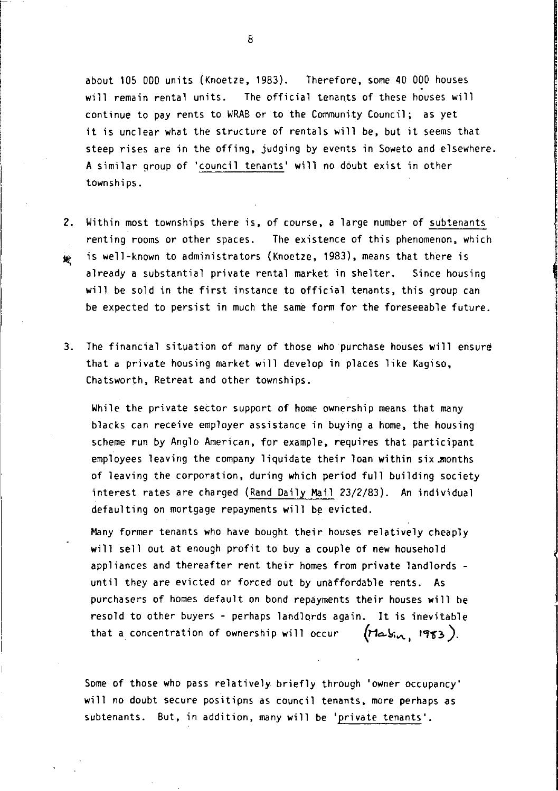about 105 000 units (Knoetze, 1983). Therefore, some 40 000 houses will remain rental units. The official tenants of these houses will continue to pay rents to WRAB or to the Community Council; as yet it is unclear what the structure of rentals will be, but it seems that steep rises are in the offing, judging by events in Soweto and elsewhere. A similar group of 'council tenants' will no doubt exist in other townships.

- 2. Within most townships there is, of course, a large number of subtenants renting rooms or other spaces. The existence of this phenomenon, which <sup>~</sup>is well-known to administrators (Knoetze, 1983), means that there is already a substantial private rental market in shelter. Since housing will be sold in the first instance to official tenants, this group can be expected to persist in much the same form for the foreseeable future.
- 3. The financial situation of many of those who purchase houses will ensure that a private housing market will develop in places like Kagiso, Chatsworth, Retreat and other townships.

While the private sector support of home ownership means that many blacks can receive employer assistance in buying a home, the housing scheme run by Anglo American, for example, requires that participant employees leaving the company liquidate their loan within six .months of leaving the corporation, during which period full building society interest rates are charged (Rand Daily Mail 23/2/83). An individual defaulting on mortgage repayments will be evicted.

Many former tenants who have bought their houses relatively cheaply will sell out at enough profit to buy a couple of new household appliances and thereafter rent their homes from private landlords until they are evicted or forced out by unaffordab1e rents. As purchasers of homes default on bond repayments their houses will be resold to other buyers - perhaps landlords again. It is inevitable that a concentration of ownership will occur  $(n\Delta s_{\text{tot}}/1983)$ .

Some of those who pass relatively briefly through 'owner occupancy' will no doubt secure positipns as council tenants, more perhaps as subtenants. But, in addition, many will be 'private tenants'.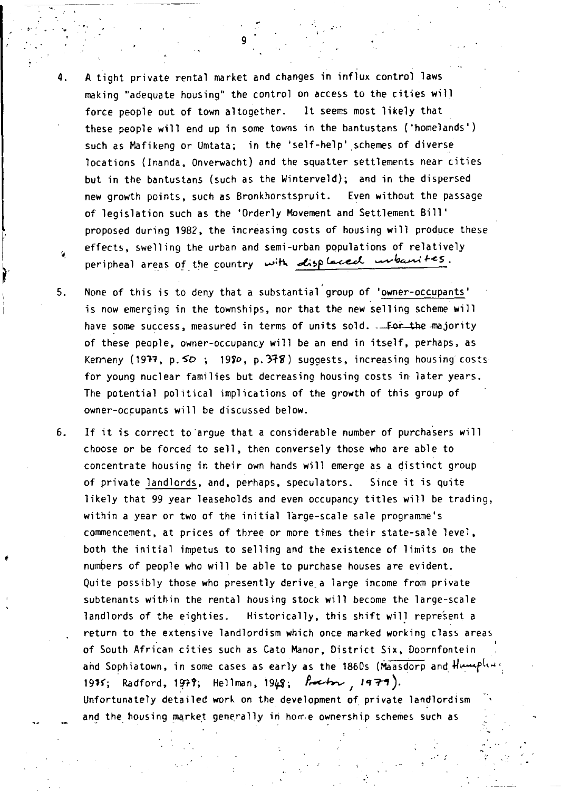4. A tight private rental market and changes in influx control laws making "adequate housing" the control on access to the cities will force people out of town altogether. It seems most likely that these people will end up in some towns in the bantustans ('homelands') such as Mafikeng or Umtata; in the 'self-help' schemes of diverse locations (lnanda, Onverwacht) and the squatter settlements near cities but in the bantustans (such as the Winterveld); and in the dispersed new growth points, such as Bronkhorstspruit. Even without the passage of legislation such as the 'Orderly Movement and Settlement Bill' proposed during 1982, the increasing costs of housing will produce these effects, swelling the urban and semi-urban populations of relatively peripheal areas of the country with disp laced unbanites.

 $\mathcal{G}^{(1)}$ 

- 5. None of this is to deny that a substantial' group of 'owner-occupants' is now emerging in the townships, nor that the new selling scheme will have some success, measured in terms of units sold. . For the majority of these people, owner-occupancy will be an end in itself, perhaps, as Kemeny (1977, p.  $5D$ ; 1980, p. 378) suggests, increasing housing costs for young nuclear families but decreasing housing costs in later years. The potential political implications of the growth of this group of owner-occupants will be discussed below.
- 6. If it is correct to argue that a considerable number of purchasers will choose or be forced to sell, then conversely those who are able to concentrate housing in their own hands will emerge as a distinct group of private landlords, and, perhaps, speculators. Since it is quite likely that 99 year leaseholds and even occupancy titles will be trading, ·within a year or two of the initial large-scale sale programme's commencement, at prices of three or more times their state-sale level, both the initial impetus to selling and the existence of limits on the numbers of people who will be able to purchase houses are evident. Quite possibly those who presently derive a large income from private subtenants within the rental housing stock will become the large-scale landlords of the eighties. Historically, this shift will represent a return to the extensive landlordism which once marked working class areas of South African cities such as Cato Manor, District Six, Doornfontein and Sophiatown, in some cases as early as the 1860s (Maasdorp and Humphing 1935; Radford, 1979; Hellman, 1948; *f.*- $t_{\text{ref}}$ , 1979). Unfortunately detailed work on the development of private landlordism and the housing market generally in home ownership schemes such as

 $\mathcal{L} \subset \mathcal{L}$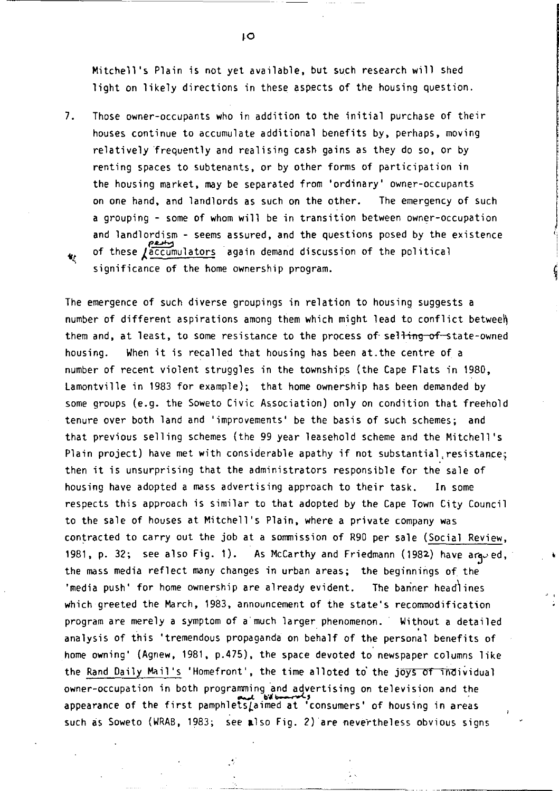Mitchell's Plain is not yet available, but such research will shed light on likely directions in these aspects of the housing question.

7. Those owner-occupants who in addition to the initial purchase of their houses continue to accumulate additional benefits by, perhaps, moving relatively frequently and realising cash gains as they do so, or by renting spaces to SUbtenants, or by other forms of participation in the housing market, may be separated from 'ordinary' owner-occupants on one hand, and landlords as such on the other. The emergency of such a grouping - some of whom will be in transition between owner-occupation and landlordism - seems assured, and the questions posed by the existence of these  $\sqrt{\frac{accumultators}{accumultators}}}$  again demand discussion of the political significance of the home ownership program.

The emergence of such diverse groupings in relation to housing suggests a number of different aspirations among them which might lead to conflict betweeh them and, at least, to some resistance to the process of selling of state-owned housing. When it is recalled that housing has been at.the centre of a number of recent violent struggles in the townships (the Cape Flats in 1980, Lamontville in 1983 for example); that home ownership has been demanded by some groups (e.g. the Soweto Civic Association) only on condition that freehold tenure over both land and 'improvements' be the basis of such schemes; and that previous selling schemes (the 99 year leasehold scheme and the Mitchell's Plain project) have met with considerable apathy if not substantial.resistance; then it is unsurprising that the administrators responsible for the sale of housing have adopted a mass advertising approach to their task. In some respects this approach is similar to that adopted by the Cape Town City Council to the sale of houses at Mitchell's Plain, where a private company was contracted to carry out the job at a sommission of R90 per sale (Social Review, 1981, p. 32; see also Fig. 1). As McCarthy and Friedmann (1982) have ara-ed, the mass media reflect many changes in urban areas; the beginnings of the 'media push' for home ownership are already evident. The banner headlines which greeted the March, 1983, announcement of the state's recommodification program are merely a symptom of a'much larger phenomenon. Without a detailed analysis of this 'tremendous propaganda on behalf of the personal benefits of home owning' (Agnew, 1981, p.475), the space devoted to newspaper columns like the Rand Daily Mail's 'Homefront', the time alloted to the joys of individual owner-occupation in both programming and advertising on television and the appearance of the first pamphletsLaimed at 'consumers' of housing in areas such cis Soweto (WRAB, 1983; see **al** so Fig. 2) are 'nevertheless obvious signs

**LO**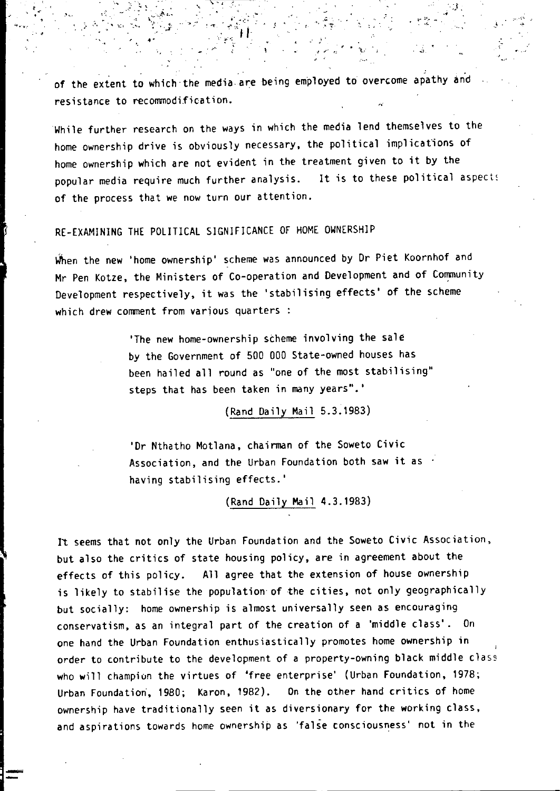of the extent to which the media are being employed to overcome apathy and resistance to recommodification.

 $\mathcal{H}^{\mathcal{A}}_{\mathcal{A}}$  , ...  $\mathcal{A}^{\mathcal{A}}_{\mathcal{A}}$  , ... , ... , ... , ... , ... , ... , ... , ... , ... , ... , ... , ... , ... , ... , ... , ... , ... , ... , ... , ... , ... , ... , ... , ... , ... , ... , ... , ... ,

 $\sum_{i\in\mathcal{I}}\sum_{j\in\mathcal{I}}\mathcal{F}_{i,j}=\sum_{i\in\mathcal{I}}\sum_{j\in\mathcal{I}}\mathcal{F}_{i,j}$ 

While further research on the ways in which the media lend themselves to the home ownership drive is obviously necessary, the political implications of home ownership which are not evident in the treatment given to it by the popular media require much further analysis. It is to these political aspects of the process that we now turn our attention.

# RE-EXAMINING THE POLITICAL SIGNIFICANCE OF HOME OWNERSHIP

" ,. '", ... :, "'..... ~':. ,,;' .. ,. ,:' .' " }'

'' .. . . . <sup>.</sup>

When the new 'home ownership' scheme was announced by Dr Piet Koornhof and Mr Pen Kotze, the Ministers of Co-operation and Development and of Community Development respectively, it was the 'stabilising effects' of the scheme which drew comment from various quarters :

> 'The new home-ownership scheme involving the sale by the Government of 500 000 State-owned houses has been hailed all round as "one of the most stabilising" steps that has been taken in many years". '

> > (Rand Daily Mail 5.3.1983)

'Dr Nthatho Motlana, chairman of the Soweto Civic Association, and the Urban Foundation both saw it as  $\cdot$ having stabilising effects.'

(Rand Daily Mail 4.3.1983)

It seems that not only the Urban Foundation and the Soweto Civic Association, but also the critics of state housing policy, are in agreement about the effects of this policy. All agree that the extension of house ownership is likely to stabilise the population' of the cities, not only geographically but socially: home ownership is almost universally seen as encouraging conservatism, as an integral part of the creation of a 'middle class'. On one hand the Urban Foundation enthusiastically promotes home ownership in order to contribute to the development of a property-owning black middle class who will champion the virtues of 'free enterprise' (Urban Foundation, 1978; Urban Foundation', 1980; Karon,1982). On the other hand critics of home ownership have traditionally seen it as diversionary for the working class, and aspirations towards home ownership as 'false consciousness' not in the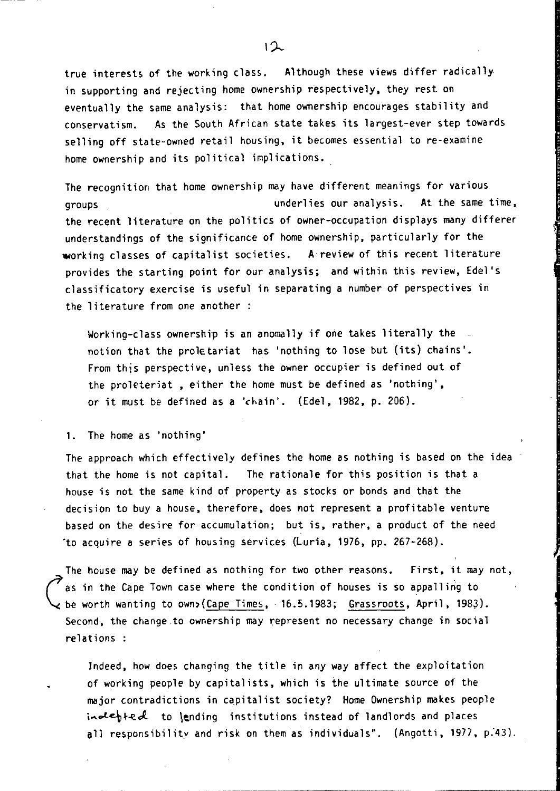true interests of the working class. Although these views differ radically in supporting and rejecting home ownership respectively, they rest on eventually the same analysis: that home ownership encourages stability and conservatism. As the South African state takes its largest-ever step towards selling off state-owned retail housing, it becomes essential to re-examine home ownership and its political implications.

The recognition that home ownership may have different meanings for various groups underlies our analysis. At the same time, the recent literature on the politics of owner-occupation displays many differer understandings of the significance of home ownership, particularly for the working classes of capitalist societies. A review of this recent literature provides the starting point for our analysis; and within this review, Edel's classificatory exercise is useful in separating a number of perspectives in the literature from one another:

Working-class ownership is an anomally if one takes literally the notion that the proletariat has 'nothing to lose but (its) chains'. From this perspective, unless the owner occupier is defined out of the proleteriat , either the home must be defined as 'nothing', or it must be defined as a 'chain'. (Edel, 1982, p. 206).

1. The home as 'nothing'

The approach which effectively defines the home as nothing is based on the idea that the home is not capital. The rationale for this position is that a house is not the same kind of property as stocks or bonds and that the decision to buy a house, therefore, does not represent a profitable venture based on the desire for accumulation; but is, rather, a product of the need -to acquire a series of housing services (Luria, 1976, pp. 267-268).

The house may be defined as nothing for two other reasons. First, it may not, as in the Cape Town case where the condition of houses is so appalling to be worth wanting to own)(Cape Times, 16.5.1983; Grassroots, April, 1983). Second, the change to ownership may represent no necessary change in social relations :

Indeed, how does changing the title in any way affect the exploitation of working people by capitalists, which is the ultimate source of the major contradictions in capitalist society? Home Ownership makes people  $ind$ ebted to lending institutions instead of landlords and places all responsibility and risk on them as individuals". (Angotti, 1977, p.43).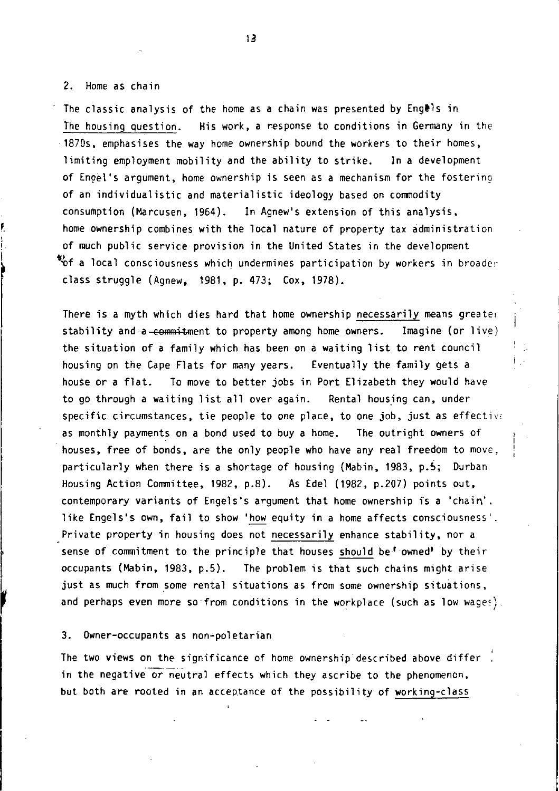#### 2. Home as chain

The classic analysis of the home as a chain was presented by Engels in The housing question. His work, a response to conditions in Germany in the 1870s, emphasises the way home ownership bound the workers to their homes, limiting employment mobility and the ability to strike. In a development of Engel's argument, home ownership is seen as a mechanism for the fostering of an individualistic and materialistic ideology based on commodity consumption (Marcusen, 1964). In Agnew's extension of this analysis, home ownership combines with the local nature of property tax administration of much public service provision in the United States in the development  $\mathbf{v}_0$ f a local consciousness which undermines participation by workers in broader class struggle (Agnew, 1981, p. 473; Cox, 1978).

There is a myth which dies hard that home ownership necessarily means greaterstability and a-commitment to property among home owners. Imagine (or live) the situation of a family which has been on a waiting list to rent council housing on the Cape Flats for many years. Eventually the family gets a house or a flat. To move to better jobs in Port Elizabeth they would have to go through a waiting list allover again. Rental housing can, under specific circumstances, tie people to one place, to one job, just as effective as monthly payments on a bond used to buy a home. The outright owners of houses, free of bonds, are the only people who have any real freedom to move, particularly when there is a shortage of housing (Mabin, 1983, p.S; Durban Housing Action Committee, 1982, p.8). As Edel (1982, p.207) points out, contemporary variants of Engels's argument that home ownership is a 'chain', like Engels's own, fail to show 'how equity in a home affects consciousness'. Private property in housing does not necessarily enhance stability, nor a sense of commitment to the principle that houses should be' owned' by their occupants (Mabin, 1983, p.S). The problem ;s that such chains might arise just as much from some rental situations as from some ownership situations, and perhaps even more so from conditions in the workplace (such as low wages).

#### 3. Owner-occupants as non-poletarian

The two views on the significance of home ownership described above differ in the negative or neutral effects which they ascribe to the phenomenon, but both are rooted in an acceptance of the possibility of working-class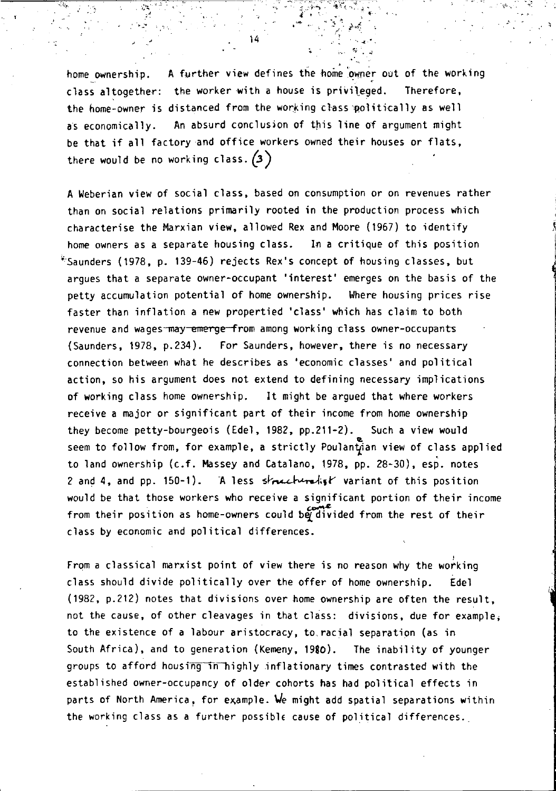home ownership. A further view defines the home owner out of the working class altogether: the worker with a house is privileged. Therefore, the home-owner is distanced from the working class politically as well as economically. An absurd conclusion of this line of argument might be that if all factory and office workers owned their houses or flats, there would be no working class.  $(3)$ 

A Weberian view of social class, based on consumption or on revenues rather than on social relations primarily rooted in the production process which characterise the Marxian view, allowed Rex and Moore (1967) to identify home owners as a separate housing class. In a critique of this position ~Saunders (1978, p. 139-46) rejects Rex's concept of housing classes, but argues that a separate owner-occupant 'interest' emerges on the basis of the petty accumulation potential of home ownership. Where housing prices rise faster than inflation a new propertied 'class' which has claim to both revenue and wages may emerge from among working class owner-occupants (Saunders, 1978, p.234). For Saunders, however, there is no necessary connection between what he describes as 'economic classes' and political action, so his argument does not extend to defining necessary implications of working class home ownership. It might be argued that where workers receive a major or significant part of their income from home ownership they become petty-bourgeois (Edel, 1982, pp.211-2). Such a view would seem to follow from, for example, a strictly Poulantian view of class applied to land ownership (c.f. Massey and Catalano, 1978, pp. 28-30), esp. notes 2 and 4, and pp. 150-1). A less structuralist variant of this position would be that those workers who receive a significant portion of their income from their position as home-owners could be divided from the rest of their class by economic and political differences.

From a classical marxist point of view there is no reason why the working class should divide politically over the offer of home ownership. Edel (1982, p.212) notes that divisions over home ownership are often the result, not the cause, of other cleavages in that class: divisions, due for example; to the existence of a labour aristocracy, to, racial separation (as in South Africa), and to generation (Kemeny, 1980). The inability of younger groups to afford housing in highly inflationary times contrasted with the established owner-occupancy of older cohorts has had political effects in parts of North America, for example. We might add spatial separations within the working class as a further possible cause of political differences.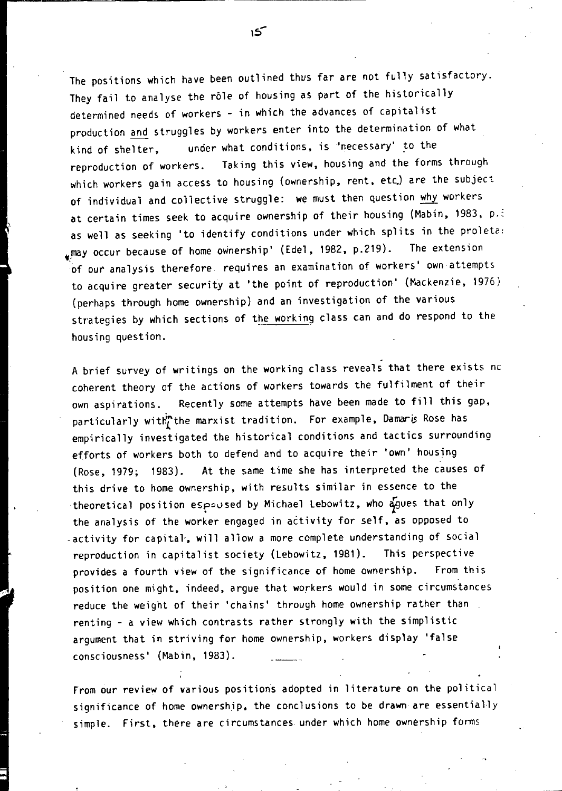The positions which have been outlined thus far are not fully satisfactory. They fail to analyse the rôle of housing as part of the historically determined needs of workers - in which the advances of capitalist production and struggles by workers enter into the determination of what kind of shelter, under what conditions, is "necessary' to the reproduction of workers. Taking this view, housing and the forms through which workers gain access to housing (ownership, rent, etc.) are the subject of individual and collective struggle: we must then question why workers at certain times seek to acquire ownership of their housing (Mabin, 1983, p.i as well as seeking 'to identify conditions under which splits in the proleta: \_.may occur because of home ownership' (Edel, 1982, p.219). The extension of our analysis therefore requires an examination of workers' own attempts to acquire greater security at 'the point of reproduction' (Mackenzie, 1976) (perhaps through home ownership) and an investigation of the various strategies by which sections of the working class can and do respond to the housing question.

A brief survey of writings on the working class reveals that there exists nc coherent theory of the actions of workers towards the fulfilment of their own aspirations. Recently some attempts have been made to fill this gap, particularly with the marxist tradition. For example, Damaris Rose has empirically investigated the historical conditions and tactics surrounding efforts of workers both to defend and to acquire their 'own' housing (Rose, 1979; 1983). At the same time she has interpreted the causes of this drive to home ownership, with results similar in essence to the theoretical position espoused by Michael Lebowitz, who  $\frac{1}{2}$ gues that only the analysis of the worker engaged in activity for self, as opposed to . activity for capital, will allow a more complete understanding of social reproduction in capitalist society (Lebowitz, 1981). This perspective provides a fourth view of the significance of home ownership. From this position one might, indeed, argue that workers would in some circumstances reduce the weight of their 'chains' through home ownership rather than renting - a view which contrasts rather strongly with the simplistic argument that in striving for home ownership, workers display 'false consciousness' (Mabin, 1983).

From our review of various positions adopted in literature on the political significance of home ownership, the conclusions to be drawn are essentially simple. First, there are circumstances under which home ownership forms

 $\sim$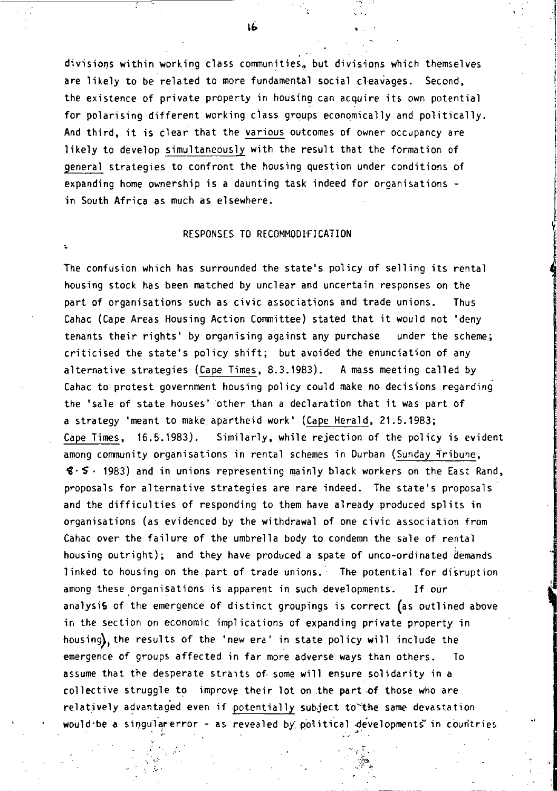divisions within working class communities, but divisions which themselves are likely to be related to more fundamental social cleavages. Second, the existence of private property in housing can acquire its own potential for polarising different working ciass groups economically and politically. And third, it is clear that the various outcomes of owner occupancy are likely to develop simultaneously with the result that the formation of general strategies to confront the housing question under conditions of expanding home ownership is a daunting task indeed for organisations in South Africa as much as elsewhere.

### RESPONSES TO RECOMMODIFICATION

The confusion which has surrounded the state's policy of selling its rental housing stock has been matched by unclear and uncertain responses on the part of organisations such as civic associations and trade unions. Thus Cahac (Cape Areas Housing Action Committee) stated that it would not 'deny tenants their rights' by organising against any purchase under the scheme; criticised the state's policy shift; but avoided the enunciation of any alternative strategies (Cape Times, 8.3.1983). A mass meeting called by Cahac to protest government housing policy could make no decisions regarding the 'sale of state houses' other than a declaration that it was part of a strategy 'meant to make apartheid work' (Cape Herald, 21.5.1983; Cape Times, 16.5.1983). Similarly, while rejection of the policy is evident among community organisations in rental schemes in Durban (Sunday Tribune,  $$·$   $5$   $·$  1983) and in unions representing mainly black workers on the East Rand, proposals for alternative strategies are rare indeed. The state's proposals and the difficulties of responding to them have already produced splits in organisations (as evidenced by the withdrawal of one civic association from Cahac over the failure of the umbrella body to condemn the sale of rental housing outright); and they have produced a spate of unco-ordinated demands linked to housing on the part of trade unions. The potential for disruption among these organisations is apparent in such developments. If our analysis of the emergence of distinct groupings is correct (as outlined above in the section on economic implications of expanding private property in housing), the results of the 'new era' in state policy will include the emergence of groups affected in far more adverse ways than others. To assume that the desperate straits of. some will ensure solidarity in a collective struggle to improve their lot on the part of those who are relatively advantaged even if potentially subject to'the same devastation would be a singularerror - as revealed by political developments in countries

 $\circ$  ,  $\circ$ 

**1'-**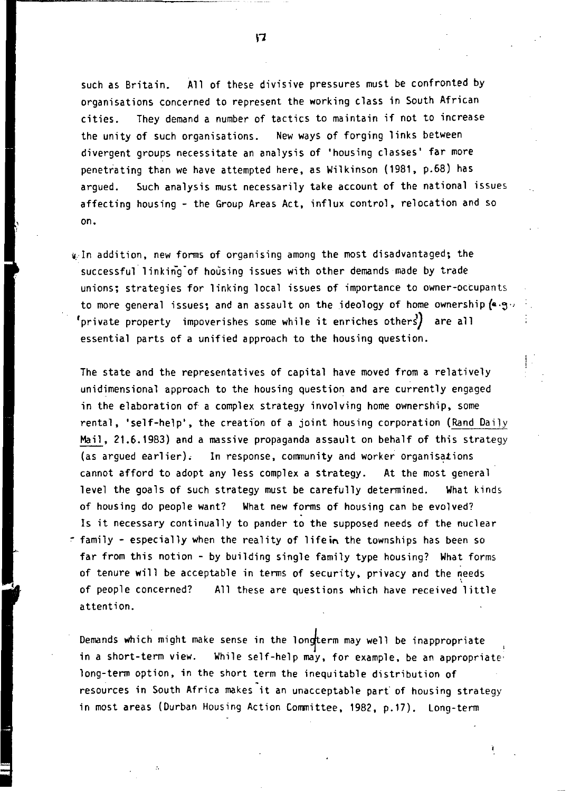such as Britain. All of these divisive pressures must be confronted by organisations concerned to represent the working class in South African cities. They demand a number of tactics to maintain if not to increase the unity of such organisations. New ways of forging links between divergent groups necessitate an analysis of 'housing classes' far more penetrating than we have attempted here, as Wilkinson (1981, p.68) has argued. Such analysis must necessarily take account of the national issues affecting housing - the Group Areas Act, influx control, relocation and so on.

4. In addition, new forms of organising among the most disadvantaged; the successful linking-of housing issues with other demands made by trade unions; strategies for linking local issues of importance to owner-ocCupants to more general issues: and an assault on the ideology of home ownership  $(4.9)$  $\mathsf{!}$ private property <code>impoverishes</code> some while it enriches others $\mathsf{!} \}$  are all essential parts of a unified approach to the housing question.

The state and the representatives of capital have moved from a relatively unidimensional approach to the housing question and are currently engaged in the elaboration of a complex strategy involving home ownership, some rental, 'self-help', the creation of a joint housing corporation (Rand Daily Mail, 21.6.1983) and a massive propaganda assault on behalf of this strategy (as argued earlier). In response, community and worker organisations cannot afford to adopt any less complex a strategy. At the most general level the goals of such strategy must be carefully determined. What kinds of housing do people want? What new forms of housing can be evolved? Is it necessary continually to pander to the supposed needs of the nuclear <sup>~</sup>family - especially when the reality of lifein the townships has been so far from this notion - by building single family type housing? What forms of tenure will be acceptable in terms of security, privacy and the needs of people concerned? All these are questions which have received little attention.

Demands which might make sense in the longterm may well be inappropriate in a short-term view. While self-help may, for example, be an appropriate' long-term option, in the short term the inequitable distribution of resources in South Africa makes it an unacceptable part of housing strategy in most areas (Durban Housing Action Committee, 1982, p.17). Long-term

 $\mathbf{r}$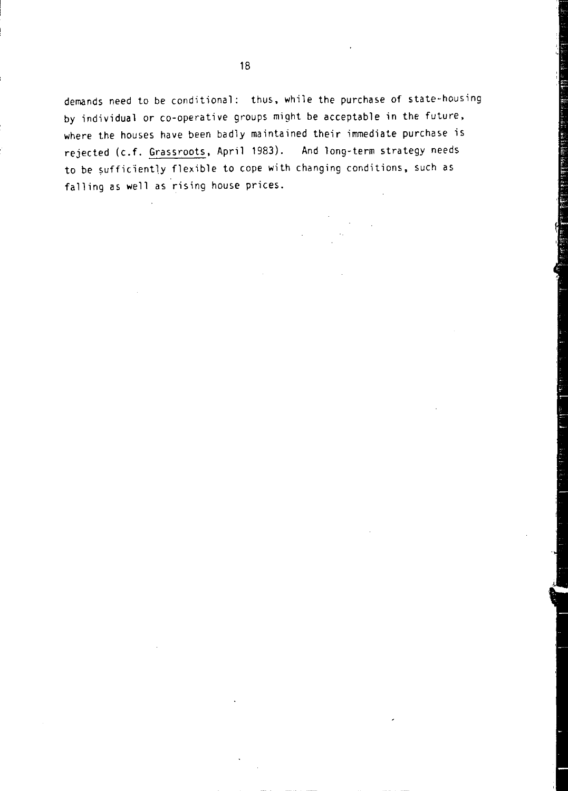demands need to be conditional: thus, while the purchase of state-housing by individual or co-operative groups might be acceptable in the future, where the houses have been badly maintained their immediate purchase is rejected (c.f. Grassroots, April 1983). And long-term strategy needs to be sufficiently flexible to cope with changing conditions, such as falling as well as rising house prices.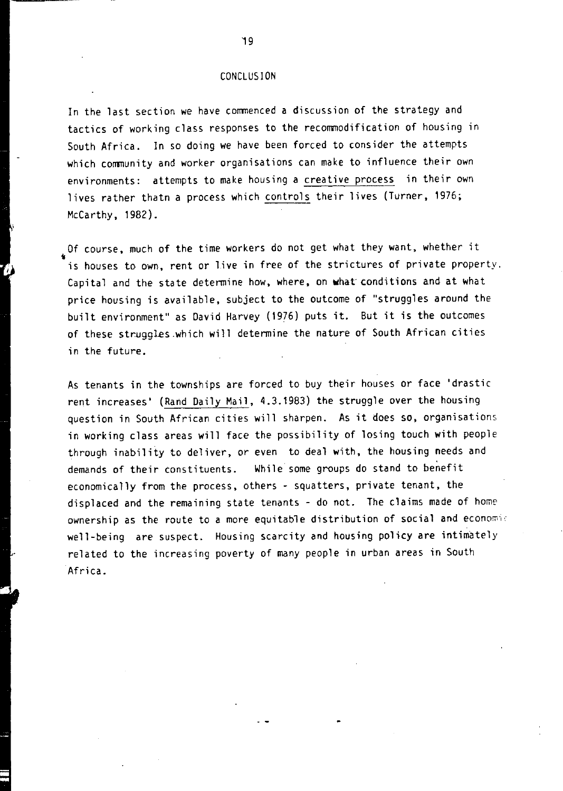### CONCLUSION

In the last section we have commenced a discussion of the strategy and tactics of working class responses to the recommodification of housing in South Africa. In so doing we have been forced to consider the attempts which community and worker organisations can make to influence their own environments: attempts to make housing a creative process in their own lives rather thatn a process which controls their lives (Turner, 1976; McCarthy, 1982).

Of course, much of the time workers do not get what they want, whether it is houses to own, rent or live in free of the strictures of private property. Capital and the state determine how, where, on what' conditions and at what price housing is available, subject to the outcome of "struggles around the built environment" as David Harvey (1976) puts it. But it is the outcomes of these struggles.which will determine the nature of South African cities in the future.

As tenants in the townships are forced to buy their houses or face 'drastic rent increases' (Rand Daily Mail, 4.3.19B3) the struggle over the housing question in South African cities will sharpen. As it does so, organisations in working class areas will face the possibility of losing touch with people through inability to deliver, or even to deal with, the housing needs and demands of their constituents. While some groups do stand to benefit economically from the process, others - squatters, private tenant, the displaced and the remaining state tenants - do not. The claims made of home ownership as the route to a more equitable distribution of social and economic well-being are suspect. Housing scarcity and housing policy are intimately related to the increasing poverty of many people in urban areas in South Africa.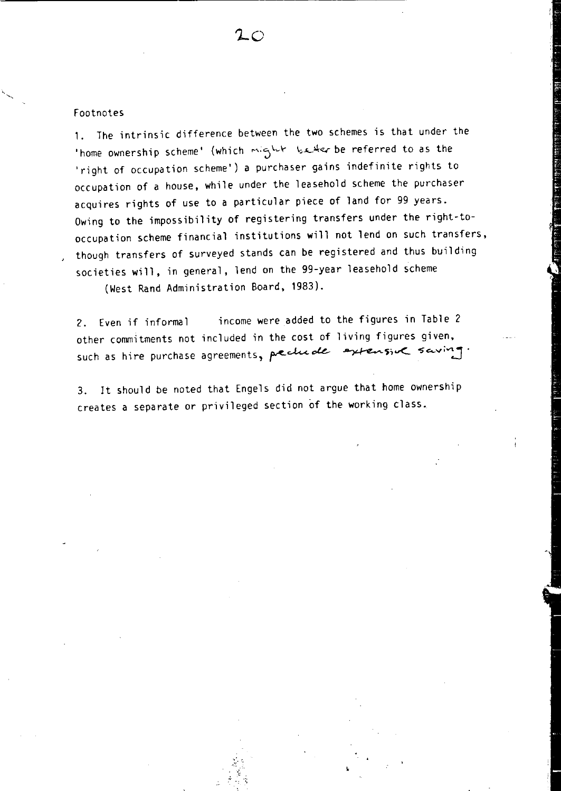# Footnotes

1. The intrinsic difference between the two schemes is that under the 'home ownership scheme' (which might be referred to as the 'right of occupation scheme') a purchaser gains indefinite rights to occupation of a house, while under the leasehold scheme the purchaser acquires rights of use to a particular piece of land for 99 years. Owing to the impossibility of registering transfers under the right-tooccupation scheme financial institutions will not lend on such transfers, though transfers of surveyed stands can be registered and thus building societies will, in general, lend on the 99-year leasehold scheme

 $2\,\circ$ 

(West Rand Administration Board, 1983).

2. Even if informal income were added to the figures in Table 2 other commitments not included in the cost of living figures given, such as hire purchase agreements, peclude extensive saving

3. It should be noted that Engels did not argue that home ownership creates a separate or privileged section of the working class.

 ${\hat{\bf x}}$  .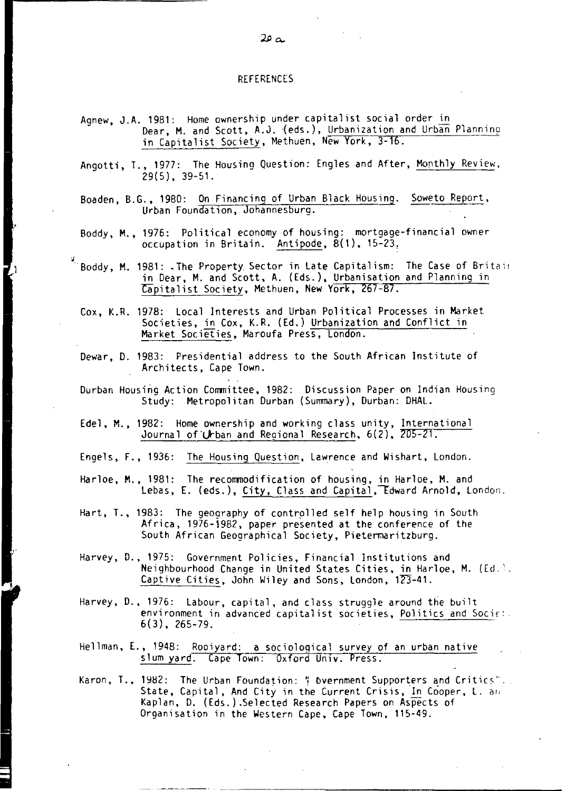#### REFERENCES

- Agnew, J.A. 1981: Home ownership under capitalist social order in Dear, M. and Scott, A.J. (eds.), Urbanization and Urban Planning in Capitalist Society, Methuen, New York, 3-16.
- Angotti, T., 1977: The Housing Question: Engles and After, Monthly Review, 29(5), 39-51.
- Boaden, B.G., 1980: On Financing of Urban Black Housing. Soweto Report, Urban Foundation, Johannesburg.
- Boddy, M., 1976: Political economy of housing: mortgage-financial owner occupation in Britain. Antipode, 8(1), 15-23,
- **····Boddy, M. 1981: "The Property. Sector in Late Capitalism: The Case of Britai!**  in Dear, M. and Scott, A. (Eds.), Urbanisation and Planning in Capitalist Society, Methuen, New York, 267-87.
	- Cox, K.R. 1978: Local Interests and Urban Political Processes in Market SOCieties, in Cox, K.R. (Ed.) Urbanization and Conflict in Market Societies, Maroufa Press, London.
	- Dewar, D. 1983: Presidential address to the South African Institute of Architects, Cape Town.
	- Durban Housing Action Committee, 1982: Discussion Paper on Indian Housing Study: Metropolitan Durban (Summary), Durban: DHAL.
	- Ede1, M., 1982: Home ownership and working class unity, International Journal of Urban and Regional Research, 6(2), 205-21.
	- Engels, F., 1936: The Housing Question, Lawrence and Wishart, London.
	- Harloe, M., 1981: The recommodification of housing, in Harloe, M. and Lebas, E. (eds.), Ci<u>ty,</u> Class and Capital, Edward Arnold, London.
	- Hart, T., 1983: The geography of controlled self help housing in South Africa, 1976-1982, paper presented at the conference of the South African Geographical Society, Pietermaritzburg.
	- Harvey, D., 1975: Government Policies, Financial Institutions and Neighbourhood Change in United States Cities, in Harloe, M. (Ed, Captive Cities, John Wiley and Sons, London, 123-41.
	- Harvey, D., 1976: Labour, capital, and class struggle around the built environment in advanced capitalist societies, Politics and Soci $\varepsilon$ :. 6(3), 265-79.
	- Hellman, E., 1948: Rooiyard: a sociological survey of an urban native slum yard. Cape Town: Oxford Univ. Press.
	- Karon, T., 1982: The Urban Foundation: '! Overnment Supporters and Critics".. State, Capital, And City in the Current Crisis, In Cooper, L. an, Kaplan, D. (Eds.) .Selected Research Papers on Aspects of Organisation in the Western Cape, Cape Town, 115-49.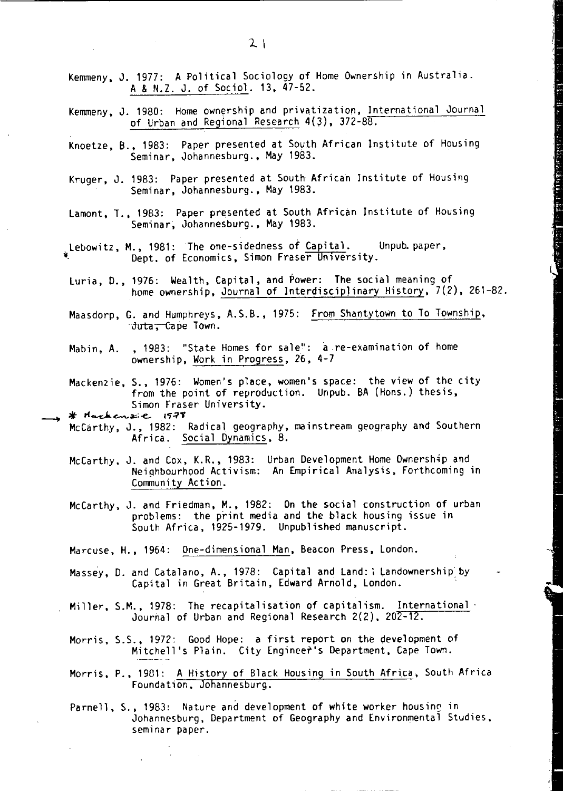- Kemmeny, J. 1977: A Political Sociology of Home Ownership in Australia. A & N.Z. J. of Sociol. 13.47-52.
- Kemmeny. J. 1980: Home ownership and privatization, International Journal of Urban and Regional Research 4(3), 372-88.
- Knoetze, B., 1983: Paper presented at South African Institute of Housing Seminar. Johannesburg., May 1983.
- Kruger, J. 1983: Paper presented at South African Institute of Housing Seminar, Johannesburg., May 1983.
- Lamont, T., 1983: Paper presented at South African Institute of Housing Seminar, Johannesburg., May 1983 .
- Lebowitz, M<sub>.</sub>, 1981: The one-sidedness of Capital. Unpub.paper, Dept. of Economics, Simon Fraser University.
- Luria, D., 1976: Wealth, Capital. and Power: The social meaning of home ownership, Journal of Interdisciplinary History, 7(2), 261-82.
- Maasdorp, G. and Humphreys, A.S.B., 1975: From Shantytown to To Township, Juta, Cape Town.
- Mabin. A. ,1983: "State Homes for Sale": a re-examination of home ownership, Work in Progress, 26, 4-7
- Mackenzie,S., 1976: Women's place, women's space: the view of the city from the point of reproduction. Unpub. BA (Hons.) thesis,<br>Simon Fraser University.

- Simon Fraser University.<br>\* الصحيح الاجتماعي الله التي يتحصين التي يتحصين التي يتحصين التي يتحدث التي يتح<br>McCarthy, J., 1982: Radical geography, mainstream geography and Southern Africa. Social Dynamics, 8.
- McCarthy, J. and Cox, K.R., 1983: Urban Development Home Ownership and Neiqhbourhood Activism: An Empirical Analysis. Forthcoming in Community Action.
- McCarthy. J. and Friedman, M., 1982: On the social construction of urban problems: the print media and the black housing issue in South Africa, 1925-1979. Unpublished manuscript.
- Marcuse, H., 1964: One-dimensional Man, Beacon Press, London.
- Massey, D. and Catalano, A., 1978: Capital and Land: i Landownership by Capital in Great Britain, Edward Arnold, London.
- Miller, S.M., 1978: The recapitalisation of capitalism. International . Journal of Urban and Regional Research 2(2), 202-12.
- Morris. S.S., 1972: Good Hope: a first report on the development of Mitchell's Plain. City Engineer's Department, Cape Town.
- Morris, P., 1901: A History of Black Housing in South Africa. South Africa Foundation, Johannesburg.
- Parnell, S., 1983: Nature and development of white worker housine in Johannesburg, Department of Geography and Environmentai Studies, seminar paper.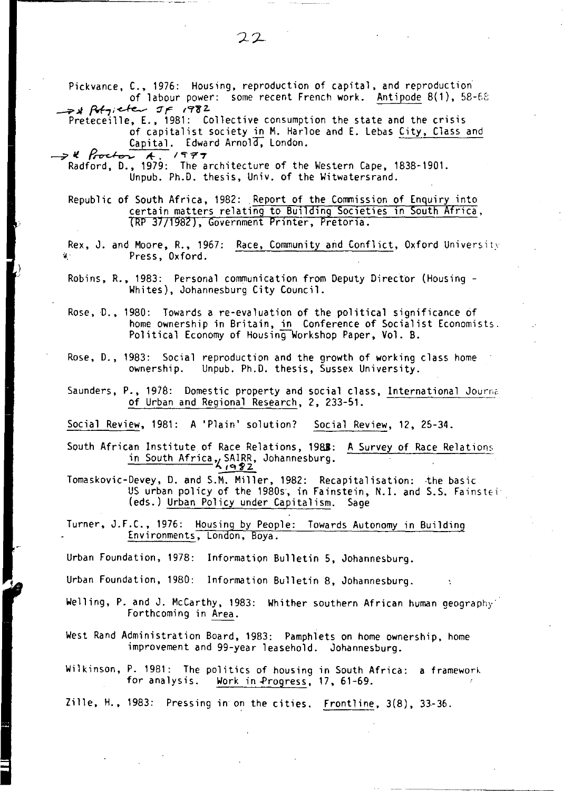Pickvance, C., 1976: Housing, reproduction of capital, and reproduction· of labour power: some recent French work. Antipode 8(1), 58-62 **\_;I** *M;;<-fe.....-* ~~ (er~z. Preteceille, E., 1981: Collective consumption the state and the crisis of capitalist society in M. Harloe and E. Lebas City, Cla<br> **Capital.** Edward Arnold, London.<br> **-7'1'** Radford, D., 1979: The architecture of the Western Cape, 1838-1901. of capitalist society in M. Harloe and E. Lebas City, Class and Capital. Edward Arnold, London. Unpub. Ph.D. thesis, Univ. of the Witwatersrand. Republic of South Africa, 1982: Report of the Commission of Enquiry into certain matters relating to Building Societies in South Africa, (RP 37/1982), Government Printer, Pretoria. Rex, J. and Moore, R., 1967: Race, Community and Conflict, Oxford University Press, Oxford. Robins, R., 1983: Personal communication from Deputy Director (Housing - Whites), Johannesburg City Council. Rose, D., 1980: Towards a re-evaluation of the political significance of home ownership in 8ritain, in Conference of Socialist Economists. Political Economy of Housing Workshop Paper, Vol. B. Rose, D., 1983: Social reproduction and the growth of working class home<br>ownership. Unpub. Ph.D. thesis. Sussex University. Unpub. Ph.D. thesis, Sussex University. Saunders, P., 1978: Domestic property and social class, International Journa of Urban and Regional Research, 2, 233-51. Social Review, 1981: A 'Plain' solution? Social Review, 12, 25-34. South African Institute of Race Relations, 1988: A Survey of Race Relations Race Relations<br>SAIRR, Johann<br>Are 22<br>M. Miller, 198 in South Africa, SAIRR, Johannesburg. Tomaskovic-Devey, D. and S.M. Miller, 1982: Recapitalisation: ·the basic U5 urban policy of the 198os, in Fainstein, N.I. and 5.5. Fainstei· (eds.) Urban Policy under Capitalism. Sage Turner, J.F.C., 1976: Housing by People: Towards Autonomy in Building<br>Environments, London, Boya. Urban Foundation, 1978: Information Bulletin 5, Johannesburg. Urban Foundation, 1980: Information Bulletin 8, Johannesburg.

Welling, P. and J. McCarthy, 1983: Whither southern African human geography'<br>Forthcoming in Area.

West Rand Administration Board, 1983: Pamphlets on home ownership, home improvement and 99-year leasehold. Johannesburg.

Wilkinson, P. 1981: The politics of housing in South Africa: a framework<br>for analysis. Work in Progress. 17, 61-69. Work in Progress, 17, 61-69.

Zille, H., 1983: Pressing in on the cities. Frontline, 3(8), 33-36.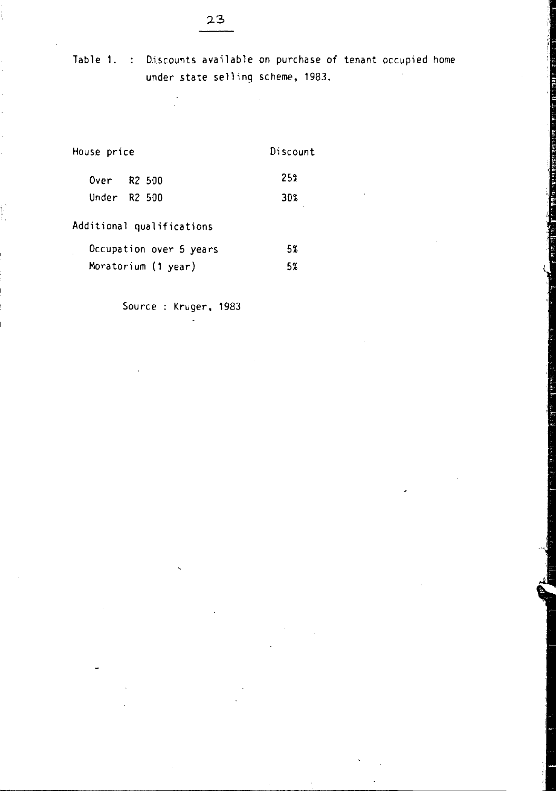Table 1. : Discounts available on purchase of tenant occupied home under state selling scheme, 1983.

> ,  $\ddot{\phantom{0}}$

| House price               | Discount |  |
|---------------------------|----------|--|
| Over R2 500               | 252      |  |
| Under $R2,500$            | 30%      |  |
| Additional qualifications |          |  |
| Occupation over 5 years   | 5%       |  |

Ë

Moratorium (1 year) 5%

Source : Kruger, 1983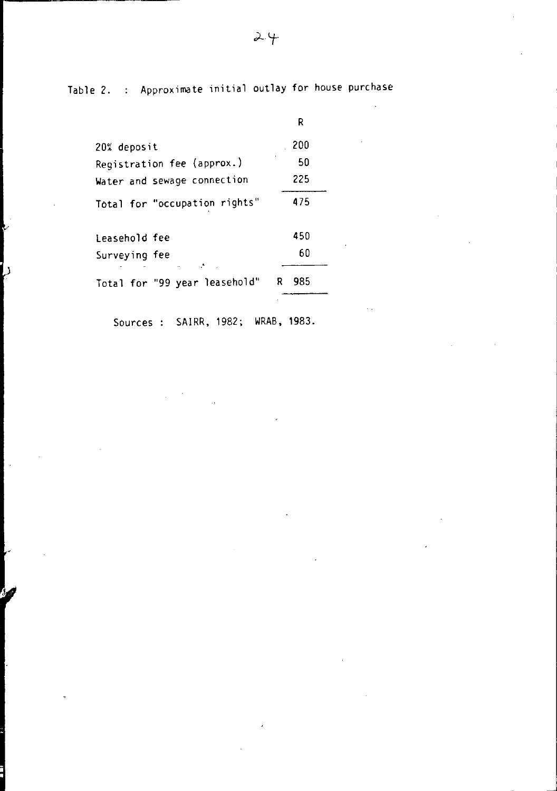Table 2. : Approximate initial outlay for house purchase

|                               | R        |
|-------------------------------|----------|
| 20% deposit                   | 200      |
| Registration fee (approx.)    | 50       |
| Water and sewage connection   | 225      |
| Total for "occupation rights" | 475      |
| leasehold fee                 | 450      |
| Surveying fee                 | 60       |
| Total for "99 year leasehold" | 985<br>R |

b

Sources : SAIRR, 1982; WRAB, 1983.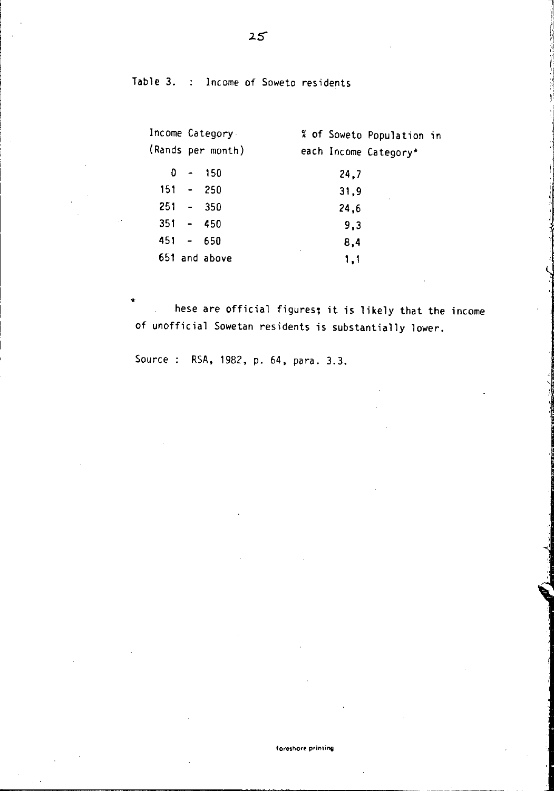Table 3. Income of Soweto residents

|             | Income Category.  |      | % of Soweto Population in |  |
|-------------|-------------------|------|---------------------------|--|
|             | (Rands per month) |      | each Income Category*     |  |
| 0           | - 150             | 24.7 |                           |  |
| $151 - 250$ |                   | 31.9 |                           |  |
| $251 - 350$ |                   | 24.6 |                           |  |
| $351 - 450$ |                   | 9.3  |                           |  |
| $451 - 650$ |                   | 8.4  |                           |  |
|             | 651 and above     | 1,1  |                           |  |

.. hese are official figures; it is likely that the income of unofficial Sowetan residents is substantially lower.

Source : RSA, 1982, p. 64, para. 3.3.